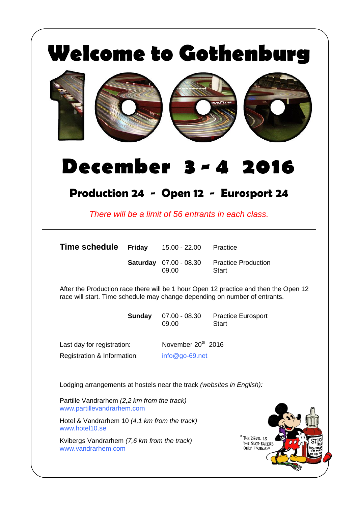| <b>Welcome to Gothenburg</b><br><b>DODFYEAR</b><br><b>December 3 - 4 2016</b> |               |                                        |                                                                                                                                                                    |  |
|-------------------------------------------------------------------------------|---------------|----------------------------------------|--------------------------------------------------------------------------------------------------------------------------------------------------------------------|--|
|                                                                               |               |                                        | Production 24 - Open 12 - Eurosport 24<br>There will be a limit of 56 entrants in each class.                                                                      |  |
| Time schedule                                                                 |               | <b>Friday</b> $15.00 - 22.00$          | Practice                                                                                                                                                           |  |
|                                                                               |               | <b>Saturday</b> 07.00 - 08.30<br>09.00 | <b>Practice Production</b><br><b>Start</b>                                                                                                                         |  |
|                                                                               |               |                                        | After the Production race there will be 1 hour Open 12 practice and then the Open 12<br>race will start. Time schedule may change depending on number of entrants. |  |
|                                                                               | <b>Sunday</b> | $07.00 - 08.30$<br>09.00               | <b>Practice Eurosport</b><br><b>Start</b>                                                                                                                          |  |
| Last day for registration:                                                    |               | November 20 <sup>th</sup> 2016         |                                                                                                                                                                    |  |
| Registration & Information:                                                   |               | $info@go-69.net$                       |                                                                                                                                                                    |  |
| Lodging arrangements at hostels near the track (websites in English):         |               |                                        |                                                                                                                                                                    |  |
| Partille Vandrarhem (2,2 km from the track)<br>www.partillevandrarhem.com     |               |                                        |                                                                                                                                                                    |  |
| Hotel & Vandrarhem 10 (4,1 km from the track)<br>www.hotel10.se               |               |                                        |                                                                                                                                                                    |  |
| Kvibergs Vandrarhem (7,6 km from the track)<br>www.vandrarhem.com             |               |                                        | THE DEVIL 1S<br>THE SLOT-RACERS<br>ONLY FRIEND"                                                                                                                    |  |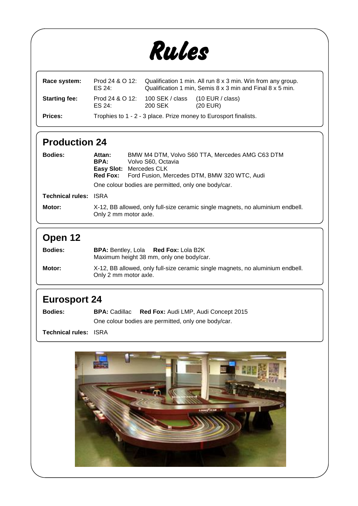

| Race system:         | ES 24:                                                           | Prod 24 & O 12: Qualification 1 min. All run 8 x 3 min. Win from any group.<br>Qualification 1 min, Semis 8 x 3 min and Final 8 x 5 min. |            |
|----------------------|------------------------------------------------------------------|------------------------------------------------------------------------------------------------------------------------------------------|------------|
| <b>Starting fee:</b> | ES 24:                                                           | Prod 24 & O 12: 100 SEK / class (10 EUR / class)<br>200 SEK                                                                              | $(20$ EUR) |
| <b>Prices:</b>       | Trophies to 1 - 2 - 3 place. Prize money to Eurosport finalists. |                                                                                                                                          |            |

## **Production 24**

| <b>Bodies:</b>               | Attan:<br>BPA:<br>Red Fox:                                                                              | BMW M4 DTM, Volvo S60 TTA, Mercedes AMG C63 DTM<br>Volvo S60, Octavia<br>Easy Slot: Mercedes CLK<br>Ford Fusion, Mercedes DTM, BMW 320 WTC, Audi<br>One colour bodies are permitted, only one body/car. |
|------------------------------|---------------------------------------------------------------------------------------------------------|---------------------------------------------------------------------------------------------------------------------------------------------------------------------------------------------------------|
| <b>Technical rules: ISRA</b> |                                                                                                         |                                                                                                                                                                                                         |
| Motor:                       | X-12, BB allowed, only full-size ceramic single magnets, no aluminium endbell.<br>Only 2 mm motor axle. |                                                                                                                                                                                                         |

## **Open 12**

| <b>Bodies:</b> | <b>BPA:</b> Bentley, Lola <b>Red Fox:</b> Lola B2K<br>Maximum height 38 mm, only one body/car.          |
|----------------|---------------------------------------------------------------------------------------------------------|
| Motor:         | X-12, BB allowed, only full-size ceramic single magnets, no aluminium endbell.<br>Only 2 mm motor axle. |

## **Eurosport 24**

| <b>Bodies:</b> | <b>BPA:</b> Cadillac | <b>Red Fox: Audi LMP, Audi Concept 2015</b>         |
|----------------|----------------------|-----------------------------------------------------|
|                |                      | One colour bodies are permitted, only one body/car. |

**Technical rules:** ISRA